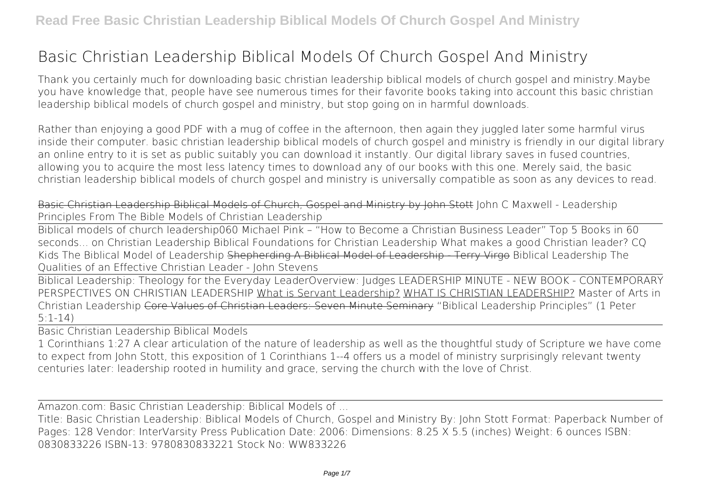## **Basic Christian Leadership Biblical Models Of Church Gospel And Ministry**

Thank you certainly much for downloading **basic christian leadership biblical models of church gospel and ministry**.Maybe you have knowledge that, people have see numerous times for their favorite books taking into account this basic christian leadership biblical models of church gospel and ministry, but stop going on in harmful downloads.

Rather than enjoying a good PDF with a mug of coffee in the afternoon, then again they juggled later some harmful virus inside their computer. **basic christian leadership biblical models of church gospel and ministry** is friendly in our digital library an online entry to it is set as public suitably you can download it instantly. Our digital library saves in fused countries, allowing you to acquire the most less latency times to download any of our books with this one. Merely said, the basic christian leadership biblical models of church gospel and ministry is universally compatible as soon as any devices to read.

Basic Christian Leadership Biblical Models of Church, Gospel and Ministry by John Stott John C Maxwell - Leadership Principles From The Bible **Models of Christian Leadership**

Biblical models of church leadership*060 Michael Pink – "How to Become a Christian Business Leader" Top 5 Books in 60 seconds... on Christian Leadership Biblical Foundations for Christian Leadership* What makes a good Christian leader? CQ Kids The Biblical Model of Leadership Shepherding A Biblical Model of Leadership - Terry Virgo *Biblical Leadership The Qualities of an Effective Christian Leader - John Stevens*

Biblical Leadership: Theology for the Everyday Leader*Overview: Judges LEADERSHIP MINUTE - NEW BOOK - CONTEMPORARY PERSPECTIVES ON CHRISTIAN LEADERSHIP* What is Servant Leadership? WHAT IS CHRISTIAN LEADERSHIP? Master of Arts in Christian Leadership Core Values of Christian Leaders: Seven Minute Seminary "Biblical Leadership Principles" (1 Peter 5:1-14)

Basic Christian Leadership Biblical Models

1 Corinthians 1:27 A clear articulation of the nature of leadership as well as the thoughtful study of Scripture we have come to expect from John Stott, this exposition of 1 Corinthians 1--4 offers us a model of ministry surprisingly relevant twenty centuries later: leadership rooted in humility and grace, serving the church with the love of Christ.

Amazon.com: Basic Christian Leadership: Biblical Models of ...

Title: Basic Christian Leadership: Biblical Models of Church, Gospel and Ministry By: John Stott Format: Paperback Number of Pages: 128 Vendor: InterVarsity Press Publication Date: 2006: Dimensions: 8.25 X 5.5 (inches) Weight: 6 ounces ISBN: 0830833226 ISBN-13: 9780830833221 Stock No: WW833226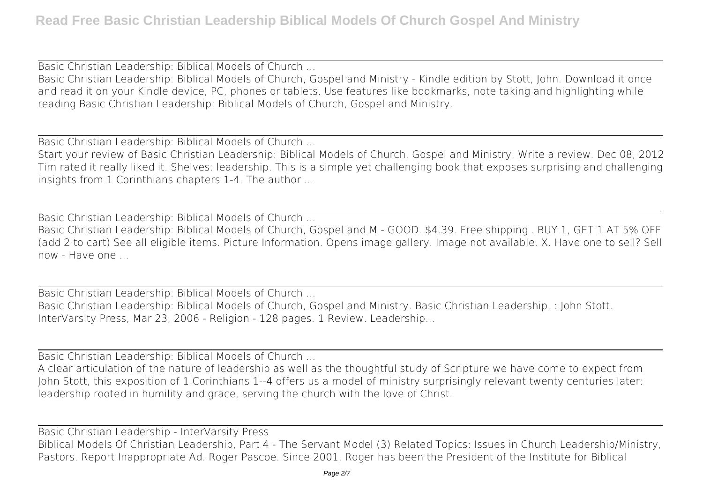Basic Christian Leadership: Biblical Models of Church ...

Basic Christian Leadership: Biblical Models of Church, Gospel and Ministry - Kindle edition by Stott, John. Download it once and read it on your Kindle device, PC, phones or tablets. Use features like bookmarks, note taking and highlighting while reading Basic Christian Leadership: Biblical Models of Church, Gospel and Ministry.

Basic Christian Leadership: Biblical Models of Church ...

Start your review of Basic Christian Leadership: Biblical Models of Church, Gospel and Ministry. Write a review. Dec 08, 2012 Tim rated it really liked it. Shelves: leadership. This is a simple yet challenging book that exposes surprising and challenging insights from 1 Corinthians chapters 1-4. The author ...

Basic Christian Leadership: Biblical Models of Church ...

Basic Christian Leadership: Biblical Models of Church, Gospel and M - GOOD. \$4.39. Free shipping . BUY 1, GET 1 AT 5% OFF (add 2 to cart) See all eligible items. Picture Information. Opens image gallery. Image not available. X. Have one to sell? Sell now - Have one

Basic Christian Leadership: Biblical Models of Church ... Basic Christian Leadership: Biblical Models of Church, Gospel and Ministry. Basic Christian Leadership. : John Stott. InterVarsity Press, Mar 23, 2006 - Religion - 128 pages. 1 Review. Leadership...

Basic Christian Leadership: Biblical Models of Church ...

A clear articulation of the nature of leadership as well as the thoughtful study of Scripture we have come to expect from John Stott, this exposition of 1 Corinthians 1--4 offers us a model of ministry surprisingly relevant twenty centuries later: leadership rooted in humility and grace, serving the church with the love of Christ.

Basic Christian Leadership - InterVarsity Press Biblical Models Of Christian Leadership, Part 4 - The Servant Model (3) Related Topics: Issues in Church Leadership/Ministry, Pastors. Report Inappropriate Ad. Roger Pascoe. Since 2001, Roger has been the President of the Institute for Biblical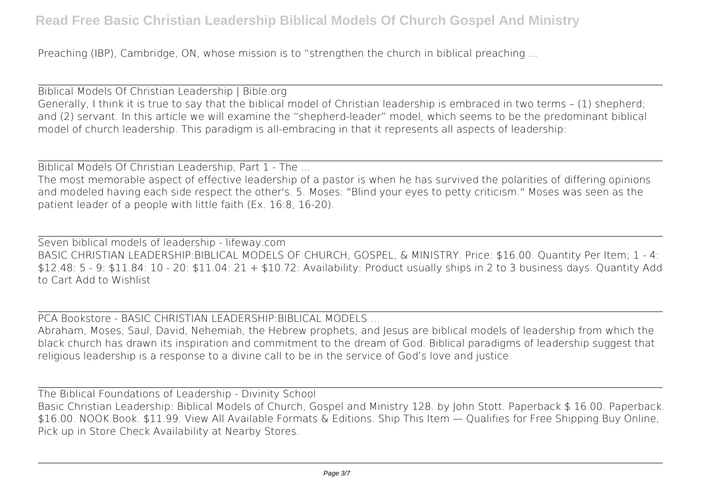Preaching (IBP), Cambridge, ON, whose mission is to "strengthen the church in biblical preaching ...

Biblical Models Of Christian Leadership | Bible.org Generally, I think it is true to say that the biblical model of Christian leadership is embraced in two terms – (1) shepherd; and (2) servant. In this article we will examine the "shepherd-leader" model, which seems to be the predominant biblical model of church leadership. This paradigm is all-embracing in that it represents all aspects of leadership:

Biblical Models Of Christian Leadership, Part 1 - The ...

The most memorable aspect of effective leadership of a pastor is when he has survived the polarities of differing opinions and modeled having each side respect the other's. 5. Moses: "Blind your eyes to petty criticism." Moses was seen as the patient leader of a people with little faith (Ex. 16:8, 16-20).

Seven biblical models of leadership - lifeway.com BASIC CHRISTIAN LEADERSHIP:BIBLICAL MODELS OF CHURCH, GOSPEL, & MINISTRY. Price: \$16.00. Quantity Per Item; 1 - 4: \$12.48: 5 - 9: \$11.84: 10 - 20: \$11.04: 21 + \$10.72: Availability: Product usually ships in 2 to 3 business days. Quantity Add to Cart Add to Wishlist

PCA Bookstore - BASIC CHRISTIAN LEADERSHIP:BIBLICAL MODELS ...

Abraham, Moses, Saul, David, Nehemiah, the Hebrew prophets, and Jesus are biblical models of leadership from which the black church has drawn its inspiration and commitment to the dream of God. Biblical paradigms of leadership suggest that religious leadership is a response to a divine call to be in the service of God's love and justice.

The Biblical Foundations of Leadership - Divinity School Basic Christian Leadership: Biblical Models of Church, Gospel and Ministry 128. by John Stott. Paperback \$ 16.00. Paperback. \$16.00. NOOK Book. \$11.99. View All Available Formats & Editions. Ship This Item — Qualifies for Free Shipping Buy Online, Pick up in Store Check Availability at Nearby Stores.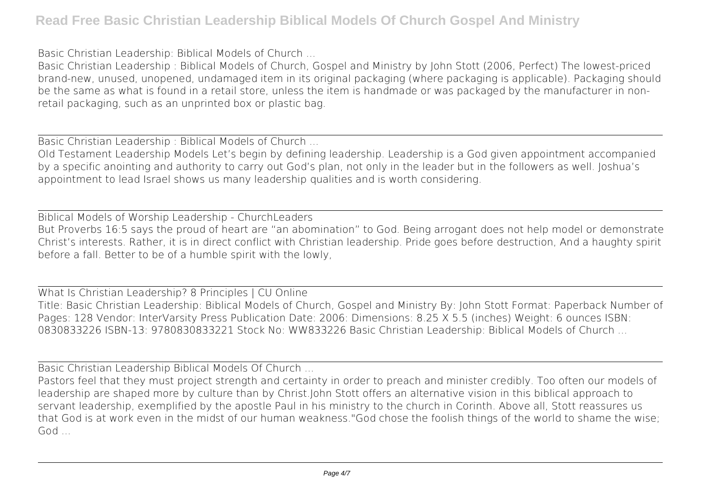Basic Christian Leadership: Biblical Models of Church ...

Basic Christian Leadership : Biblical Models of Church, Gospel and Ministry by John Stott (2006, Perfect) The lowest-priced brand-new, unused, unopened, undamaged item in its original packaging (where packaging is applicable). Packaging should be the same as what is found in a retail store, unless the item is handmade or was packaged by the manufacturer in nonretail packaging, such as an unprinted box or plastic bag.

Basic Christian Leadership : Biblical Models of Church ...

Old Testament Leadership Models Let's begin by defining leadership. Leadership is a God given appointment accompanied by a specific anointing and authority to carry out God's plan, not only in the leader but in the followers as well. Joshua's appointment to lead Israel shows us many leadership qualities and is worth considering.

Biblical Models of Worship Leadership - ChurchLeaders But Proverbs 16:5 says the proud of heart are "an abomination" to God. Being arrogant does not help model or demonstrate Christ's interests. Rather, it is in direct conflict with Christian leadership. Pride goes before destruction, And a haughty spirit before a fall. Better to be of a humble spirit with the lowly,

What Is Christian Leadership? 8 Principles | CU Online Title: Basic Christian Leadership: Biblical Models of Church, Gospel and Ministry By: John Stott Format: Paperback Number of Pages: 128 Vendor: InterVarsity Press Publication Date: 2006: Dimensions: 8.25 X 5.5 (inches) Weight: 6 ounces ISBN: 0830833226 ISBN-13: 9780830833221 Stock No: WW833226 Basic Christian Leadership: Biblical Models of Church ...

Basic Christian Leadership Biblical Models Of Church ...

Pastors feel that they must project strength and certainty in order to preach and minister credibly. Too often our models of leadership are shaped more by culture than by Christ.John Stott offers an alternative vision in this biblical approach to servant leadership, exemplified by the apostle Paul in his ministry to the church in Corinth. Above all, Stott reassures us that God is at work even in the midst of our human weakness."God chose the foolish things of the world to shame the wise; God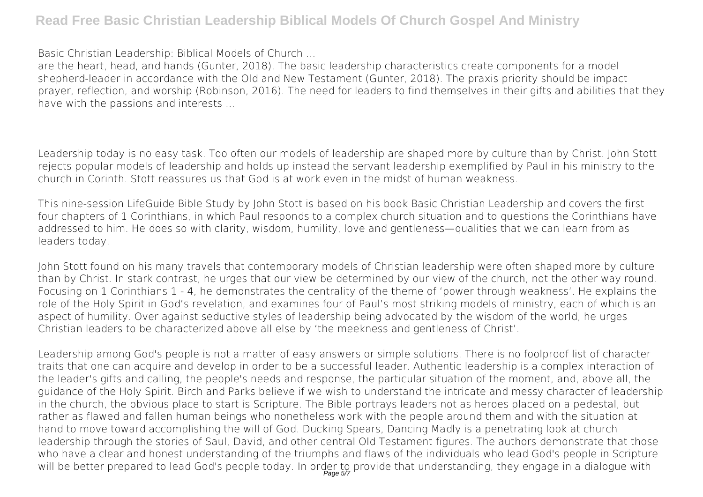## **Read Free Basic Christian Leadership Biblical Models Of Church Gospel And Ministry**

Basic Christian Leadership: Biblical Models of Church ...

are the heart, head, and hands (Gunter, 2018). The basic leadership characteristics create components for a model shepherd-leader in accordance with the Old and New Testament (Gunter, 2018). The praxis priority should be impact prayer, reflection, and worship (Robinson, 2016). The need for leaders to find themselves in their gifts and abilities that they have with the passions and interests ...

Leadership today is no easy task. Too often our models of leadership are shaped more by culture than by Christ. John Stott rejects popular models of leadership and holds up instead the servant leadership exemplified by Paul in his ministry to the church in Corinth. Stott reassures us that God is at work even in the midst of human weakness.

This nine-session LifeGuide Bible Study by John Stott is based on his book Basic Christian Leadership and covers the first four chapters of 1 Corinthians, in which Paul responds to a complex church situation and to questions the Corinthians have addressed to him. He does so with clarity, wisdom, humility, love and gentleness—qualities that we can learn from as leaders today.

John Stott found on his many travels that contemporary models of Christian leadership were often shaped more by culture than by Christ. In stark contrast, he urges that our view be determined by our view of the church, not the other way round. Focusing on 1 Corinthians 1 - 4, he demonstrates the centrality of the theme of 'power through weakness'. He explains the role of the Holy Spirit in God's revelation, and examines four of Paul's most striking models of ministry, each of which is an aspect of humility. Over against seductive styles of leadership being advocated by the wisdom of the world, he urges Christian leaders to be characterized above all else by 'the meekness and gentleness of Christ'.

Leadership among God's people is not a matter of easy answers or simple solutions. There is no foolproof list of character traits that one can acquire and develop in order to be a successful leader. Authentic leadership is a complex interaction of the leader's gifts and calling, the people's needs and response, the particular situation of the moment, and, above all, the guidance of the Holy Spirit. Birch and Parks believe if we wish to understand the intricate and messy character of leadership in the church, the obvious place to start is Scripture. The Bible portrays leaders not as heroes placed on a pedestal, but rather as flawed and fallen human beings who nonetheless work with the people around them and with the situation at hand to move toward accomplishing the will of God. Ducking Spears, Dancing Madly is a penetrating look at church leadership through the stories of Saul, David, and other central Old Testament figures. The authors demonstrate that those who have a clear and honest understanding of the triumphs and flaws of the individuals who lead God's people in Scripture will be better prepared to lead God's people today. In order to provide that understanding, they engage in a dialogue with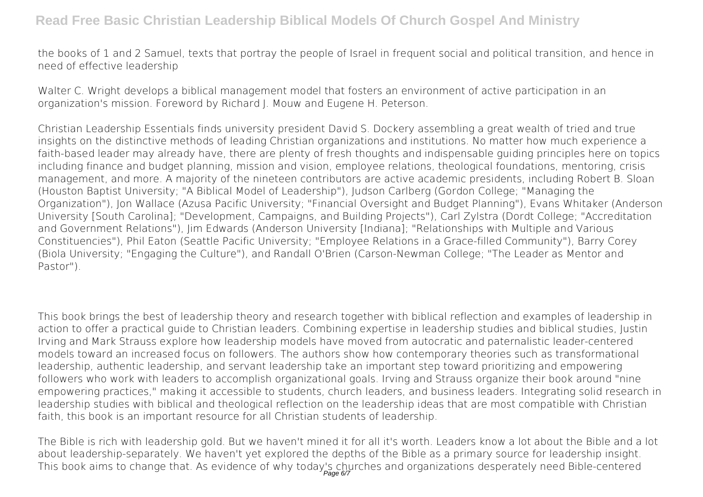the books of 1 and 2 Samuel, texts that portray the people of Israel in frequent social and political transition, and hence in need of effective leadership

Walter C. Wright develops a biblical management model that fosters an environment of active participation in an organization's mission. Foreword by Richard J. Mouw and Eugene H. Peterson.

Christian Leadership Essentials finds university president David S. Dockery assembling a great wealth of tried and true insights on the distinctive methods of leading Christian organizations and institutions. No matter how much experience a faith-based leader may already have, there are plenty of fresh thoughts and indispensable guiding principles here on topics including finance and budget planning, mission and vision, employee relations, theological foundations, mentoring, crisis management, and more. A majority of the nineteen contributors are active academic presidents, including Robert B. Sloan (Houston Baptist University; "A Biblical Model of Leadership"), Judson Carlberg (Gordon College; "Managing the Organization"), Jon Wallace (Azusa Pacific University; "Financial Oversight and Budget Planning"), Evans Whitaker (Anderson University [South Carolina]; "Development, Campaigns, and Building Projects"), Carl Zylstra (Dordt College; "Accreditation and Government Relations"), Jim Edwards (Anderson University [Indiana]; "Relationships with Multiple and Various Constituencies"), Phil Eaton (Seattle Pacific University; "Employee Relations in a Grace-filled Community"), Barry Corey (Biola University; "Engaging the Culture"), and Randall O'Brien (Carson-Newman College; "The Leader as Mentor and Pastor").

This book brings the best of leadership theory and research together with biblical reflection and examples of leadership in action to offer a practical guide to Christian leaders. Combining expertise in leadership studies and biblical studies, Justin Irving and Mark Strauss explore how leadership models have moved from autocratic and paternalistic leader-centered models toward an increased focus on followers. The authors show how contemporary theories such as transformational leadership, authentic leadership, and servant leadership take an important step toward prioritizing and empowering followers who work with leaders to accomplish organizational goals. Irving and Strauss organize their book around "nine empowering practices," making it accessible to students, church leaders, and business leaders. Integrating solid research in leadership studies with biblical and theological reflection on the leadership ideas that are most compatible with Christian faith, this book is an important resource for all Christian students of leadership.

The Bible is rich with leadership gold. But we haven't mined it for all it's worth. Leaders know a lot about the Bible and a lot about leadership-separately. We haven't yet explored the depths of the Bible as a primary source for leadership insight. This book aims to change that. As evidence of why today's churches and organizations desperately need Bible-centered Page 6/7